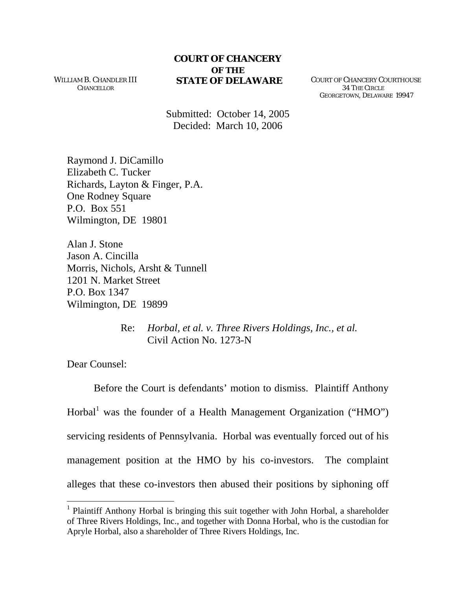WILLIAM B. CHANDLER III **CHANCELLOR** 

**STATE OF DELAWARE** COURT OF CHANCERY COURTHOUSE 34 THE CIRCLE GEORGETOWN, DELAWARE 19947

Submitted: October 14, 2005 Decided: March 10, 2006

Raymond J. DiCamillo Elizabeth C. Tucker Richards, Layton & Finger, P.A. One Rodney Square P.O. Box 551 Wilmington, DE 19801

Alan J. Stone Jason A. Cincilla Morris, Nichols, Arsht & Tunnell 1201 N. Market Street P.O. Box 1347 Wilmington, DE 19899

> Re: *Horbal, et al. v. Three Rivers Holdings, Inc., et al.*  Civil Action No. 1273-N

Dear Counsel:

 $\overline{a}$ 

Before the Court is defendants' motion to dismiss. Plaintiff Anthony Horbal<sup>[1](#page-0-0)</sup> was the founder of a Health Management Organization ("HMO") servicing residents of Pennsylvania. Horbal was eventually forced out of his management position at the HMO by his co-investors. The complaint alleges that these co-investors then abused their positions by siphoning off

<span id="page-0-0"></span><sup>&</sup>lt;sup>1</sup> Plaintiff Anthony Horbal is bringing this suit together with John Horbal, a shareholder of Three Rivers Holdings, Inc., and together with Donna Horbal, who is the custodian for Apryle Horbal, also a shareholder of Three Rivers Holdings, Inc.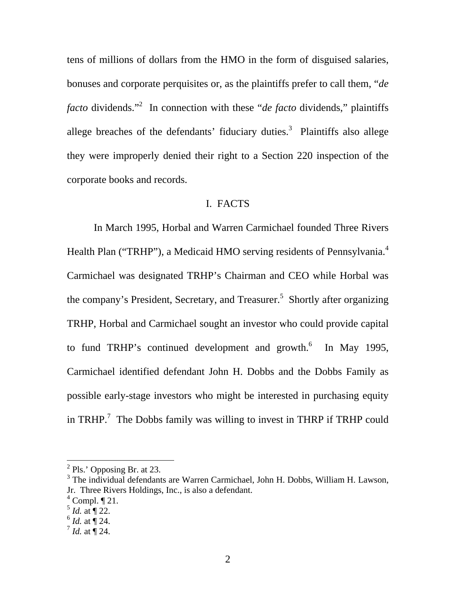tens of millions of dollars from the HMO in the form of disguised salaries, bonuses and corporate perquisites or, as the plaintiffs prefer to call them, "*de*  facto dividends."<sup>[2](#page-1-0)</sup> In connection with these "*de facto* dividends," plaintiffs allege breaches of the defendants' fiduciary duties.<sup>[3](#page-1-1)</sup> Plaintiffs also allege they were improperly denied their right to a Section 220 inspection of the corporate books and records.

# I. FACTS

In March 1995, Horbal and Warren Carmichael founded Three Rivers Health Plan ("TRHP"), a Medicaid HMO serving residents of Pennsylvania.<sup>[4](#page-1-2)</sup> Carmichael was designated TRHP's Chairman and CEO while Horbal was the company's President, Secretary, and Treasurer.<sup>[5](#page-1-3)</sup> Shortly after organizing TRHP, Horbal and Carmichael sought an investor who could provide capital to fund TRHP's continued development and growth. $^{6}$  $^{6}$  $^{6}$  In May 1995, Carmichael identified defendant John H. Dobbs and the Dobbs Family as possible early-stage investors who might be interested in purchasing equity in TRHP.<sup>[7](#page-1-5)</sup> The Dobbs family was willing to invest in THRP if TRHP could

<span id="page-1-0"></span> $<sup>2</sup>$  Pls.' Opposing Br. at 23.</sup>

<span id="page-1-1"></span><sup>&</sup>lt;sup>3</sup> The individual defendants are Warren Carmichael, John H. Dobbs, William H. Lawson, Jr. Three Rivers Holdings, Inc., is also a defendant.

<span id="page-1-2"></span> $4$  Compl.  $\P$  21.

<span id="page-1-3"></span> $^5$  *Id.* at  $\P$  22.

<span id="page-1-4"></span> $^{6}$  *Id.* at  $\overline{9}$  24.

<span id="page-1-5"></span> $^{7}$  *Id.* at  $\overline{9}$  24.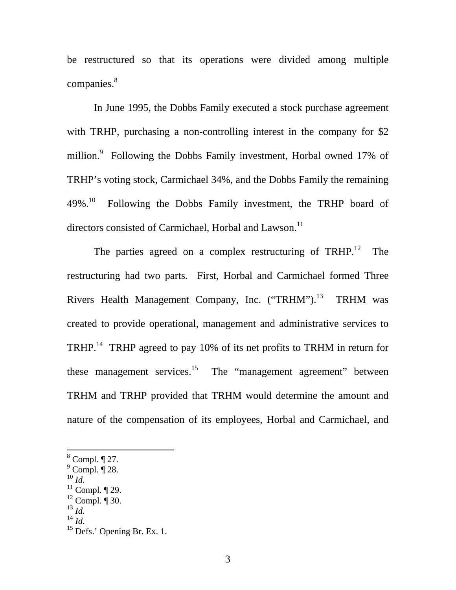be restructured so that its operations were divided among multiple companies. [8](#page-2-0)

In June 1995, the Dobbs Family executed a stock purchase agreement with TRHP, purchasing a non-controlling interest in the company for \$2 million.<sup>[9](#page-2-1)</sup> Following the Dobbs Family investment, Horbal owned 17% of TRHP's voting stock, Carmichael 34%, and the Dobbs Family the remaining 49%.<sup>10</sup> Following the Dobbs Family investment, the TRHP board of directors consisted of Carmichael, Horbal and Lawson.<sup>11</sup>

The parties agreed on a complex restructuring of TRHP.<sup>12</sup> The restructuring had two parts. First, Horbal and Carmichael formed Three Rivers Health Management Company, Inc. ("TRHM").<sup>13</sup> TRHM was created to provide operational, management and administrative services to TRHP.<sup>14</sup> TRHP agreed to pay 10% of its net profits to TRHM in return for these management services.<sup>15</sup> The "management agreement" between TRHM and TRHP provided that TRHM would determine the amount and nature of the compensation of its employees, Horbal and Carmichael, and

<span id="page-2-2"></span><sup>10</sup> *Id.*

- <span id="page-2-5"></span><sup>13</sup> *Id.*
- <span id="page-2-6"></span><sup>14</sup> *Id.*

<span id="page-2-0"></span> $8$  Compl.  $\P$  27.

<span id="page-2-1"></span><sup>9</sup> Compl*.* ¶ 28.

<span id="page-2-3"></span> $11$  Compl.  $\P$  29.

<span id="page-2-4"></span> $12$  Compl.  $\P$  30.

<span id="page-2-7"></span><sup>&</sup>lt;sup>15</sup> Defs.' Opening Br. Ex. 1.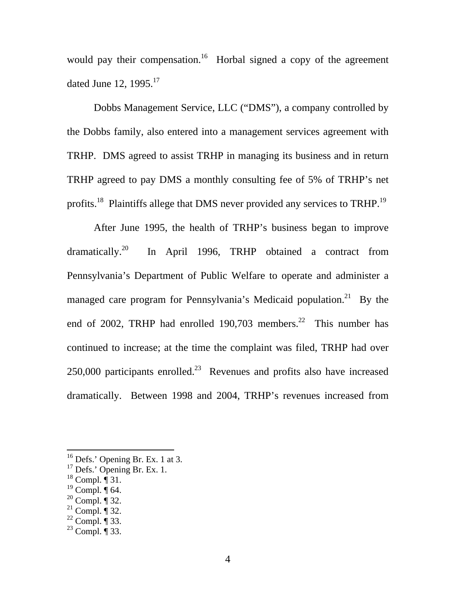would pay their compensation.<sup>16</sup> Horbal signed a copy of the agreement dated June 12,  $1995.<sup>17</sup>$  $1995.<sup>17</sup>$  $1995.<sup>17</sup>$ 

Dobbs Management Service, LLC ("DMS"), a company controlled by the Dobbs family, also entered into a management services agreement with TRHP. DMS agreed to assist TRHP in managing its business and in return TRHP agreed to pay DMS a monthly consulting fee of 5% of TRHP's net profits.<sup>18</sup> Plaintiffs allege that DMS never provided any services to TRHP.<sup>[19](#page-3-3)</sup>

After June 1995, the health of TRHP's business began to improve dramatically.<sup>20</sup> In April 1996, TRHP obtained a contract from Pennsylvania's Department of Public Welfare to operate and administer a managed care program for Pennsylvania's Medicaid population.<sup>21</sup> By the end of 2002, TRHP had enrolled 190,703 members.<sup>22</sup> This number has continued to increase; at the time the complaint was filed, TRHP had over  $250,000$  participants enrolled.<sup>23</sup> Revenues and profits also have increased dramatically. Between 1998 and 2004, TRHP's revenues increased from

<span id="page-3-0"></span> $16$  Defs.' Opening Br. Ex. 1 at 3.

<span id="page-3-1"></span> $17$  Defs.' Opening Br. Ex. 1.

<span id="page-3-2"></span> $18$  Compl.  $\overline{1}$  31.

<span id="page-3-3"></span> $19$  Compl.  $\overline{\P}$  64.

<span id="page-3-4"></span> $20$  Compl.  $\overline{\$}$  32.

<span id="page-3-5"></span> $^{21}$  Compl. ¶ 32.

<span id="page-3-6"></span> $^{22}$  Compl. ¶ 33.

<span id="page-3-7"></span> $^{23}$  Compl.  $\overline{9}$  33.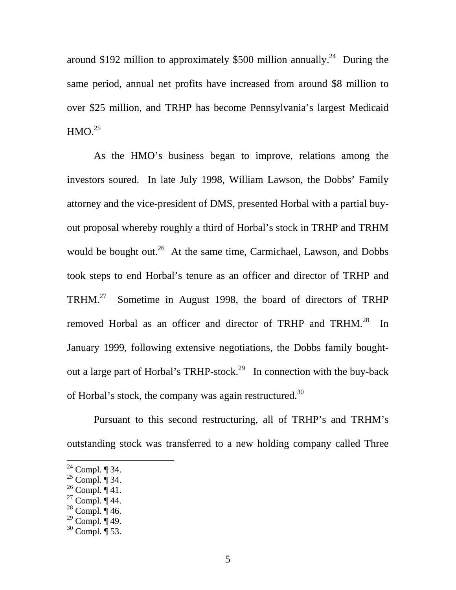around \$192 million to approximately \$500 million annually.<sup>24</sup> During the same period, annual net profits have increased from around \$8 million to over \$25 million, and TRHP has become Pennsylvania's largest Medicaid  $HMO.<sup>25</sup>$  $HMO.<sup>25</sup>$  $HMO.<sup>25</sup>$ 

As the HMO's business began to improve, relations among the investors soured. In late July 1998, William Lawson, the Dobbs' Family attorney and the vice-president of DMS, presented Horbal with a partial buyout proposal whereby roughly a third of Horbal's stock in TRHP and TRHM would be bought out.<sup>26</sup> At the same time, Carmichael, Lawson, and Dobbs took steps to end Horbal's tenure as an officer and director of TRHP and TRHM.[27](#page-4-3) Sometime in August 1998, the board of directors of TRHP removed Horbal as an officer and director of TRHP and TRHM.<sup>28</sup> In January 1999, following extensive negotiations, the Dobbs family boughtout a large part of Horbal's TRHP-stock.<sup>29</sup> In connection with the buy-back of Horbal's stock, the company was again restructured.<sup>[30](#page-4-6)</sup>

Pursuant to this second restructuring, all of TRHP's and TRHM's outstanding stock was transferred to a new holding company called Three

<span id="page-4-0"></span> $2^2$  Compl. ¶ 34.

<span id="page-4-1"></span> $^{25}$  Compl.  $\overline{\P}$  34.

<span id="page-4-2"></span> $^{26}$  Compl.  $\mathring{\mathcal{A}}$  41.

<span id="page-4-3"></span> $27$  Compl.  $\P$  44.

<span id="page-4-4"></span> $28$  Compl.  $\P$  46.

<span id="page-4-5"></span> $^{29}$  Compl. ¶ 49.

<span id="page-4-6"></span> $30$  Compl.  $\P$  53.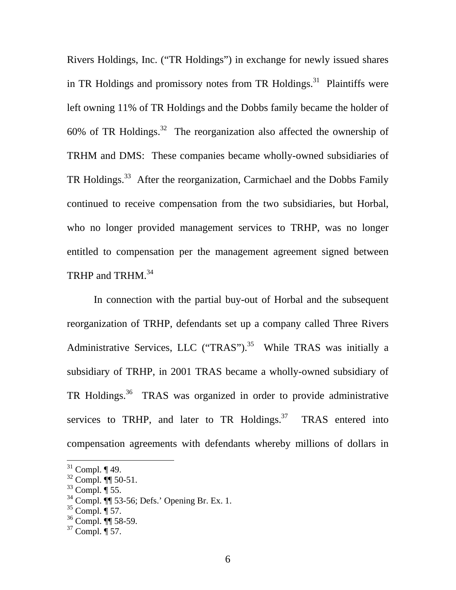Rivers Holdings, Inc. ("TR Holdings") in exchange for newly issued shares in TR Holdings and promissory notes from TR Holdings.<sup>31</sup> Plaintiffs were left owning 11% of TR Holdings and the Dobbs family became the holder of 60% of TR Holdings.<sup>32</sup> The reorganization also affected the ownership of TRHM and DMS: These companies became wholly-owned subsidiaries of TR Holdings.<sup>33</sup> After the reorganization, Carmichael and the Dobbs Family continued to receive compensation from the two subsidiaries, but Horbal, who no longer provided management services to TRHP, was no longer entitled to compensation per the management agreement signed between TRHP and TRHM.<sup>34</sup>

In connection with the partial buy-out of Horbal and the subsequent reorganization of TRHP, defendants set up a company called Three Rivers Administrative Services, LLC ("TRAS").<sup>35</sup> While TRAS was initially a subsidiary of TRHP, in 2001 TRAS became a wholly-owned subsidiary of TR Holdings[.36](#page-5-5) TRAS was organized in order to provide administrative services to TRHP, and later to TR Holdings.<sup>37</sup> TRAS entered into compensation agreements with defendants whereby millions of dollars in

<span id="page-5-0"></span> $31$  Compl. ¶ 49.

<span id="page-5-1"></span> $32$  Compl.  $\sqrt[4]{\sqrt{5}}$  50-51.

<span id="page-5-2"></span> $33$  Compl.  $\frac{1}{3}$  55.

<span id="page-5-3"></span><sup>34</sup> Compl. ¶¶ 53-56; Defs.' Opening Br. Ex. 1.

<span id="page-5-4"></span> $35$  Compl. ¶ 57.

<span id="page-5-5"></span> $36$  Compl. II 58-59.

<span id="page-5-6"></span> $37$  Compl.  $\overline{9}$  57.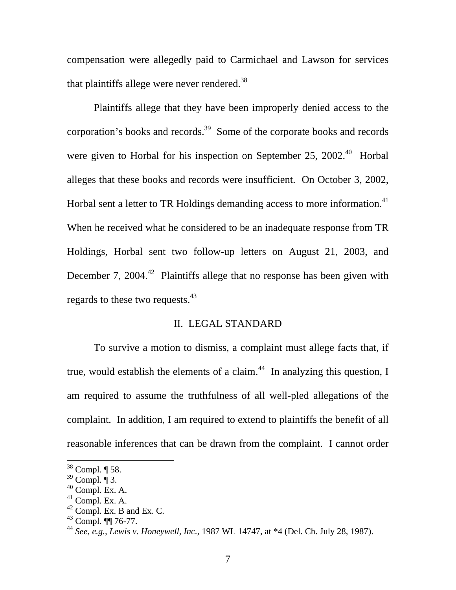compensation were allegedly paid to Carmichael and Lawson for services that plaintiffs allege were never rendered. $38$ 

Plaintiffs allege that they have been improperly denied access to the corporation's books and records.<sup>39</sup> Some of the corporate books and records were given to Horbal for his inspection on September 25, 2002.<sup>40</sup> Horbal alleges that these books and records were insufficient. On October 3, 2002, Horbal sent a letter to TR Holdings demanding access to more information.<sup>41</sup> When he received what he considered to be an inadequate response from TR Holdings, Horbal sent two follow-up letters on August 21, 2003, and December 7,  $2004<sup>42</sup>$  Plaintiffs allege that no response has been given with regards to these two requests.<sup>43</sup>

### II. LEGAL STANDARD

To survive a motion to dismiss, a complaint must allege facts that, if true, would establish the elements of a claim.<sup>44</sup> In analyzing this question, I am required to assume the truthfulness of all well-pled allegations of the complaint. In addition, I am required to extend to plaintiffs the benefit of all reasonable inferences that can be drawn from the complaint. I cannot order

<span id="page-6-0"></span> $38$  Compl.  $\P$  58.

<span id="page-6-1"></span> $39$  Compl.  $\overline{\P}$  3.

<span id="page-6-2"></span> $40$  Compl. Ex. A.

<span id="page-6-3"></span> $41$  Compl. Ex. A.

<span id="page-6-4"></span> $42$  Compl. Ex. B and Ex. C.

<span id="page-6-5"></span> $^{43}$  Compl. ¶¶ 76-77.

<span id="page-6-6"></span><sup>44</sup> *See, e.g., Lewis v. Honeywell, Inc.*, 1987 WL 14747, at \*4 (Del. Ch. July 28, 1987).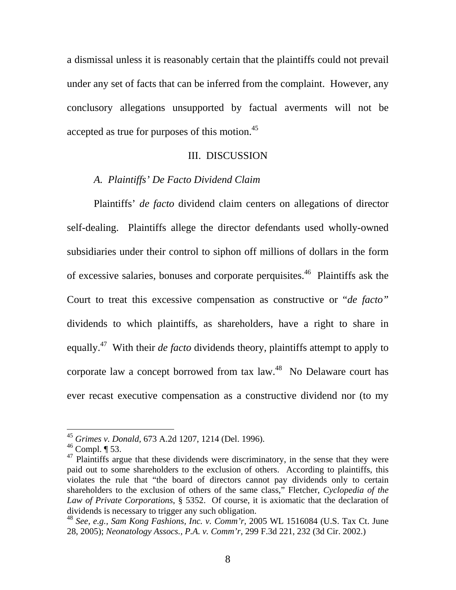a dismissal unless it is reasonably certain that the plaintiffs could not prevail under any set of facts that can be inferred from the complaint. However, any conclusory allegations unsupported by factual averments will not be accepted as true for purposes of this motion.<sup>45</sup>

### III. DISCUSSION

## *A. Plaintiffs' De Facto Dividend Claim*

Plaintiffs' *de facto* dividend claim centers on allegations of director self-dealing. Plaintiffs allege the director defendants used wholly-owned subsidiaries under their control to siphon off millions of dollars in the form of excessive salaries, bonuses and corporate perquisites.[46](#page-7-1) Plaintiffs ask the Court to treat this excessive compensation as constructive or "*de facto"*  dividends to which plaintiffs, as shareholders, have a right to share in equally.[47](#page-7-2) With their *de facto* dividends theory, plaintiffs attempt to apply to corporate law a concept borrowed from tax law.<sup>48</sup> No Delaware court has ever recast executive compensation as a constructive dividend nor (to my

<span id="page-7-0"></span><sup>45</sup> *Grimes v. Donald,* 673 A.2d 1207, 1214 (Del. 1996).

<span id="page-7-1"></span> $46$  Compl.  $\P$  53.

<span id="page-7-2"></span> $47$  Plaintiffs argue that these dividends were discriminatory, in the sense that they were paid out to some shareholders to the exclusion of others. According to plaintiffs, this violates the rule that "the board of directors cannot pay dividends only to certain shareholders to the exclusion of others of the same class," Fletcher, *Cyclopedia of the Law of Private Corporations*, § 5352. Of course, it is axiomatic that the declaration of dividends is necessary to trigger any such obligation.

<span id="page-7-3"></span><sup>48</sup> *See, e.g., Sam Kong Fashions, Inc. v. Comm'r,* 2005 WL 1516084 (U.S. Tax Ct. June 28, 2005); *Neonatology Assocs., P.A. v. Comm'r,* 299 F.3d 221, 232 (3d Cir. 2002.)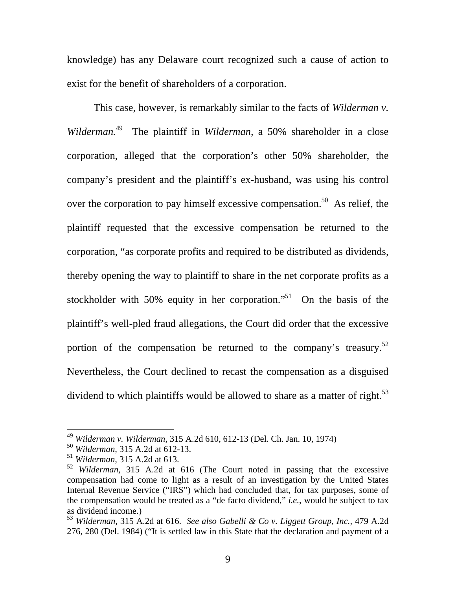<span id="page-8-4"></span>knowledge) has any Delaware court recognized such a cause of action to exist for the benefit of shareholders of a corporation.

This case, however, is remarkably similar to the facts of *Wilderman v. Wilderman.*[49](#page-8-0) The plaintiff in *Wilderman,* a 50% shareholder in a close corporation, alleged that the corporation's other 50% shareholder, the company's president and the plaintiff's ex-husband, was using his control over the corporation to pay himself excessive compensation.<sup>50</sup> As relief, the plaintiff requested that the excessive compensation be returned to the corporation, "as corporate profits and required to be distributed as dividends, thereby opening the way to plaintiff to share in the net corporate profits as a stockholder with 50% equity in her corporation."<sup>51</sup> On the basis of the plaintiff's well-pled fraud allegations, the Court did order that the excessive portion of the compensation be returned to the company's treasury.<sup>52</sup> Nevertheless, the Court declined to recast the compensation as a disguised dividend to which plaintiffs would be allowed to share as a matter of right.<sup>53</sup>

<span id="page-8-0"></span><sup>49</sup> *Wilderman v. Wilderman,* 315 A.2d 610, 612-13 (Del. Ch. Jan. 10, 1974)

<span id="page-8-1"></span><sup>50</sup> *Wilderman,* 315 A.2d at 612-13.

<span id="page-8-2"></span><sup>51</sup> *Wilderman,* 315 A.2d at 613.

<span id="page-8-3"></span><sup>52</sup> *Wilderman,* 315 A.2d at 616 (The Court noted in passing that the excessive compensation had come to light as a result of an investigation by the United States Internal Revenue Service ("IRS") which had concluded that, for tax purposes, some of the compensation would be treated as a "de facto dividend," *i.e.*, would be subject to tax as dividend income.)

<sup>53</sup> *Wilderman,* 315 A.2d at 616. *See also Gabelli & Co v. Liggett Group, Inc.,* 479 A.2d 276, 280 (Del. 1984) ("It is settled law in this State that the declaration and payment of a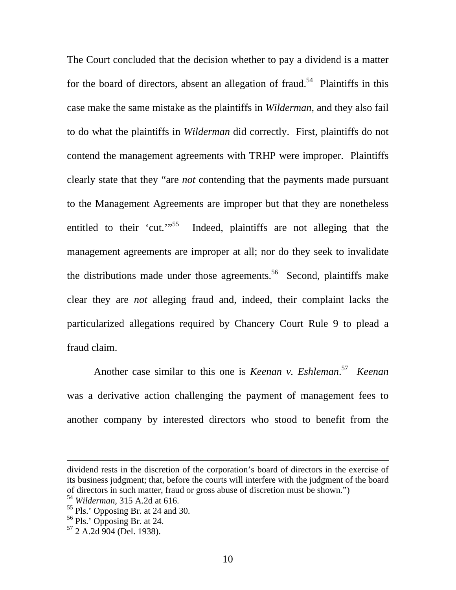The Court concluded that the decision whether to pay a dividend is a matter for the board of directors, absent an allegation of fraud.<sup>54</sup> Plaintiffs in this case make the same mistake as the plaintiffs in *Wilderman*, and they also fail to do what the plaintiffs in *Wilderman* did correctly. First, plaintiffs do not contend the management agreements with TRHP were improper. Plaintiffs clearly state that they "are *not* contending that the payments made pursuant to the Management Agreements are improper but that they are nonetheless entitled to their 'cut.'<sup>55</sup> Indeed, plaintiffs are not alleging that the management agreements are improper at all; nor do they seek to invalidate the distributions made under those agreements.<sup>56</sup> Second, plaintiffs make clear they are *not* alleging fraud and, indeed, their complaint lacks the particularized allegations required by Chancery Court Rule 9 to plead a fraud claim.

Another case similar to this one is *Keenan v. Eshleman*. [57](#page-9-3) *Keenan*  was a derivative action challenging the payment of management fees to another company by interested directors who stood to benefit from the

dividend rests in the discretion of the corporation's board of directors in the exercise of its business judgment; that, before the courts will interfere with the judgment of the board of directors in such matter, fraud or gross abuse of discretion must be shown.")

<span id="page-9-0"></span><sup>54</sup> *Wilderman,* 315 A.2d at 616.

<span id="page-9-1"></span><sup>55</sup> Pls.' Opposing Br. at 24 and 30.

<span id="page-9-2"></span><sup>56</sup> Pls.' Opposing Br. at 24.

<span id="page-9-3"></span> $57$  2 A.2d 904 (Del. 1938).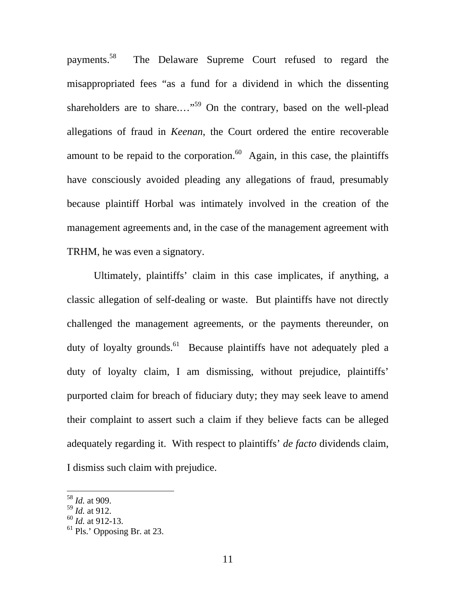payments.[58](#page-10-0) The Delaware Supreme Court refused to regard the misappropriated fees "as a fund for a dividend in which the dissenting shareholders are to share...."<sup>59</sup> On the contrary, based on the well-plead allegations of fraud in *Keenan*, the Court ordered the entire recoverable amount to be repaid to the corporation.<sup>60</sup> Again, in this case, the plaintiffs have consciously avoided pleading any allegations of fraud, presumably because plaintiff Horbal was intimately involved in the creation of the management agreements and, in the case of the management agreement with TRHM, he was even a signatory.

Ultimately, plaintiffs' claim in this case implicates, if anything, a classic allegation of self-dealing or waste. But plaintiffs have not directly challenged the management agreements, or the payments thereunder, on duty of loyalty grounds.<sup>61</sup> Because plaintiffs have not adequately pled a duty of loyalty claim, I am dismissing, without prejudice, plaintiffs' purported claim for breach of fiduciary duty; they may seek leave to amend their complaint to assert such a claim if they believe facts can be alleged adequately regarding it. With respect to plaintiffs' *de facto* dividends claim, I dismiss such claim with prejudice.

<span id="page-10-0"></span><sup>58</sup> *Id.* at 909.

<span id="page-10-1"></span><sup>59</sup> *Id.* at 912.

<span id="page-10-2"></span><sup>60</sup> *Id.* at 912-13.

<span id="page-10-3"></span> $61$  Pls.' Opposing Br. at 23.